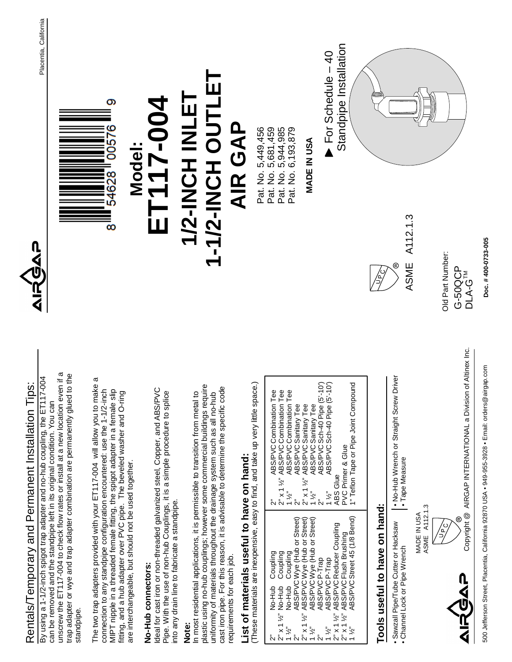

2" 2" x 1 ½" 1 ½" 2" 2" x 1 ½" 1 ½"  $\tilde{c}$ 1 ½" 2" x 1 ½" 2" x 1 ½" 1 ½"

No-Hub No-Hub No-Hub

Coupling Coupling Coupling

2" 2" x 1 ½" 1 ½"  $\tilde{\mathbf{c}}$ 2" x 1 ½" 1 ½"  $\tilde{c}$ 1 ½"

> ABS/PVCWye (Hub or Street) ABS/PVCWye (Hub or Street) ABS/PVCWye (Hub or Street)

Wye (Hub or Street) Wye (Hub or Street) Wye (Hub or Street)

> ABS/PVC ABS/PVC ABS/PVC ABS/PVC ABS/PVC

P-Trap<br>L e<br>P-Trap<br>L

Reducer Coupling Flush Brushing Street 45 (1/8 Bend) **Tools useful to have on hand:**

Tools useful to have on hand:

• Sawzall Pipe/Tube Cutter or Hacksaw • Channel Lock or Pipe Wrench

· Sawzall Pipe/Tube Cutter or Hacksaw Channel Lock or Pipe Wrench MADE IN USA<br>ASME A112.1.3 ASME A112.1.3

requirements for each job.

equirements for each job.

By using a 1-1/2-inch spigot trap adapter and no-hu

standpipe.

**No-Hub connectors:** 

No-Hub connectors:

into any drain line to fabricate a standpipe.

nto any drain line to fabricate a standpipe.

500 Jefferson Street, Placentia, California 92870 USA • 949-955-3928 • Email: orders@airgap.com 500 Jefferson Street, Placentia, California 92870 USA • 949-955-3928 • Email: orders@airgap.com

 $^{\circledR}$ 

**Doc. # 400-0733-005**

Doc. #400-0733-005